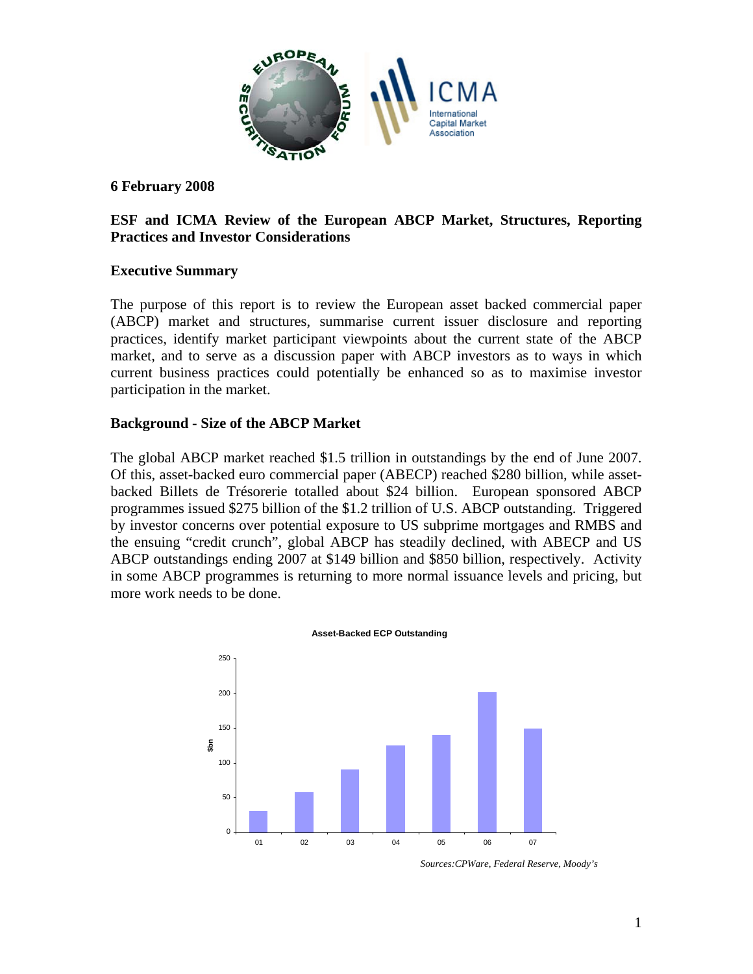

#### **6 February 2008**

### **ESF and ICMA Review of the European ABCP Market, Structures, Reporting Practices and Investor Considerations**

#### **Executive Summary**

The purpose of this report is to review the European asset backed commercial paper (ABCP) market and structures, summarise current issuer disclosure and reporting practices, identify market participant viewpoints about the current state of the ABCP market, and to serve as a discussion paper with ABCP investors as to ways in which current business practices could potentially be enhanced so as to maximise investor participation in the market.

#### **Background - Size of the ABCP Market**

The global ABCP market reached \$1.5 trillion in outstandings by the end of June 2007. Of this, asset-backed euro commercial paper (ABECP) reached \$280 billion, while assetbacked Billets de Trésorerie totalled about \$24 billion. European sponsored ABCP programmes issued \$275 billion of the \$1.2 trillion of U.S. ABCP outstanding. Triggered by investor concerns over potential exposure to US subprime mortgages and RMBS and the ensuing "credit crunch", global ABCP has steadily declined, with ABECP and US ABCP outstandings ending 2007 at \$149 billion and \$850 billion, respectively. Activity in some ABCP programmes is returning to more normal issuance levels and pricing, but more work needs to be done.



*Sources:CPWare, Federal Reserve, Moody's*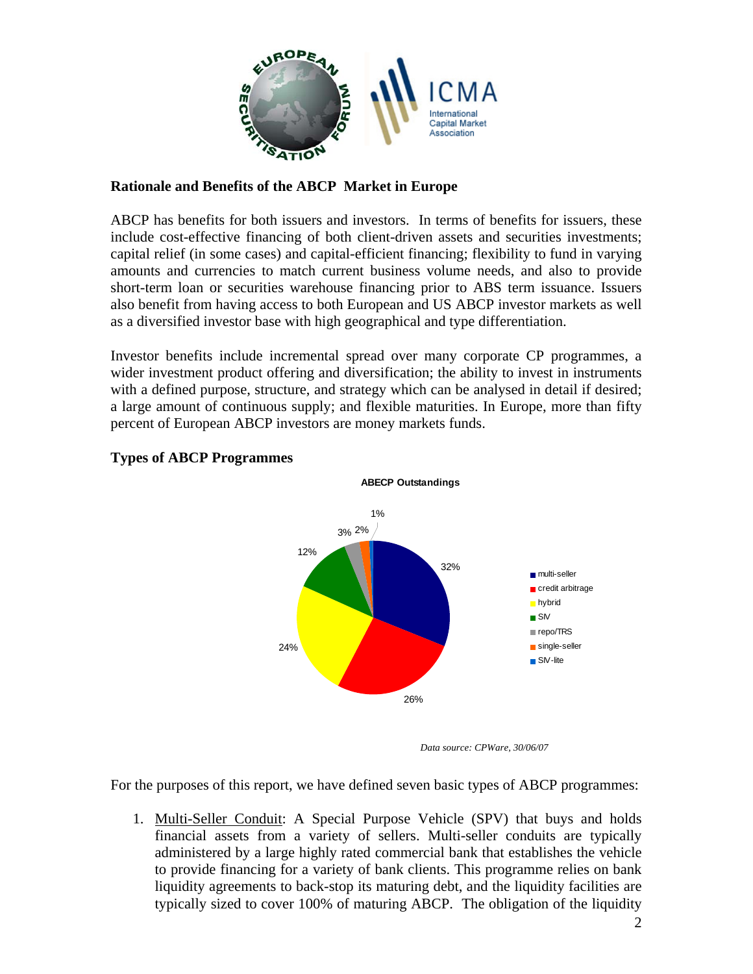

# **Rationale and Benefits of the ABCP Market in Europe**

ABCP has benefits for both issuers and investors. In terms of benefits for issuers, these include cost-effective financing of both client-driven assets and securities investments; capital relief (in some cases) and capital-efficient financing; flexibility to fund in varying amounts and currencies to match current business volume needs, and also to provide short-term loan or securities warehouse financing prior to ABS term issuance. Issuers also benefit from having access to both European and US ABCP investor markets as well as a diversified investor base with high geographical and type differentiation.

Investor benefits include incremental spread over many corporate CP programmes, a wider investment product offering and diversification; the ability to invest in instruments with a defined purpose, structure, and strategy which can be analysed in detail if desired; a large amount of continuous supply; and flexible maturities. In Europe, more than fifty percent of European ABCP investors are money markets funds.



# **Types of ABCP Programmes**

*Data source: CPWare, 30/06/07* 

For the purposes of this report, we have defined seven basic types of ABCP programmes:

1. Multi-Seller Conduit: A Special Purpose Vehicle (SPV) that buys and holds financial assets from a variety of sellers. Multi-seller conduits are typically administered by a large highly rated commercial bank that establishes the vehicle to provide financing for a variety of bank clients. This programme relies on bank liquidity agreements to back-stop its maturing debt, and the liquidity facilities are typically sized to cover 100% of maturing ABCP. The obligation of the liquidity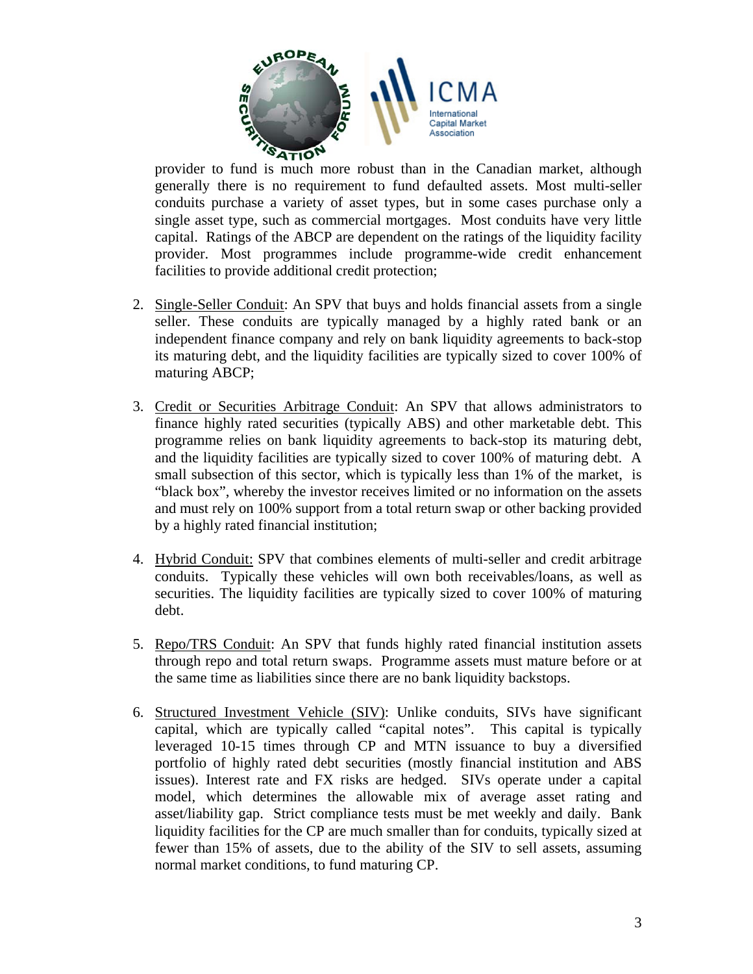

provider to fund is much more robust than in the Canadian market, although generally there is no requirement to fund defaulted assets. Most multi-seller conduits purchase a variety of asset types, but in some cases purchase only a single asset type, such as commercial mortgages. Most conduits have very little capital. Ratings of the ABCP are dependent on the ratings of the liquidity facility provider. Most programmes include programme-wide credit enhancement facilities to provide additional credit protection;

- 2. Single-Seller Conduit: An SPV that buys and holds financial assets from a single seller. These conduits are typically managed by a highly rated bank or an independent finance company and rely on bank liquidity agreements to back-stop its maturing debt, and the liquidity facilities are typically sized to cover 100% of maturing ABCP;
- 3. Credit or Securities Arbitrage Conduit: An SPV that allows administrators to finance highly rated securities (typically ABS) and other marketable debt. This programme relies on bank liquidity agreements to back-stop its maturing debt, and the liquidity facilities are typically sized to cover 100% of maturing debt. A small subsection of this sector, which is typically less than 1% of the market, is "black box", whereby the investor receives limited or no information on the assets and must rely on 100% support from a total return swap or other backing provided by a highly rated financial institution;
- 4. Hybrid Conduit: SPV that combines elements of multi-seller and credit arbitrage conduits. Typically these vehicles will own both receivables/loans, as well as securities. The liquidity facilities are typically sized to cover 100% of maturing debt.
- 5. Repo/TRS Conduit: An SPV that funds highly rated financial institution assets through repo and total return swaps. Programme assets must mature before or at the same time as liabilities since there are no bank liquidity backstops.
- 6. Structured Investment Vehicle (SIV): Unlike conduits, SIVs have significant capital, which are typically called "capital notes". This capital is typically leveraged 10-15 times through CP and MTN issuance to buy a diversified portfolio of highly rated debt securities (mostly financial institution and ABS issues). Interest rate and FX risks are hedged. SIVs operate under a capital model, which determines the allowable mix of average asset rating and asset/liability gap. Strict compliance tests must be met weekly and daily. Bank liquidity facilities for the CP are much smaller than for conduits, typically sized at fewer than 15% of assets, due to the ability of the SIV to sell assets, assuming normal market conditions, to fund maturing CP.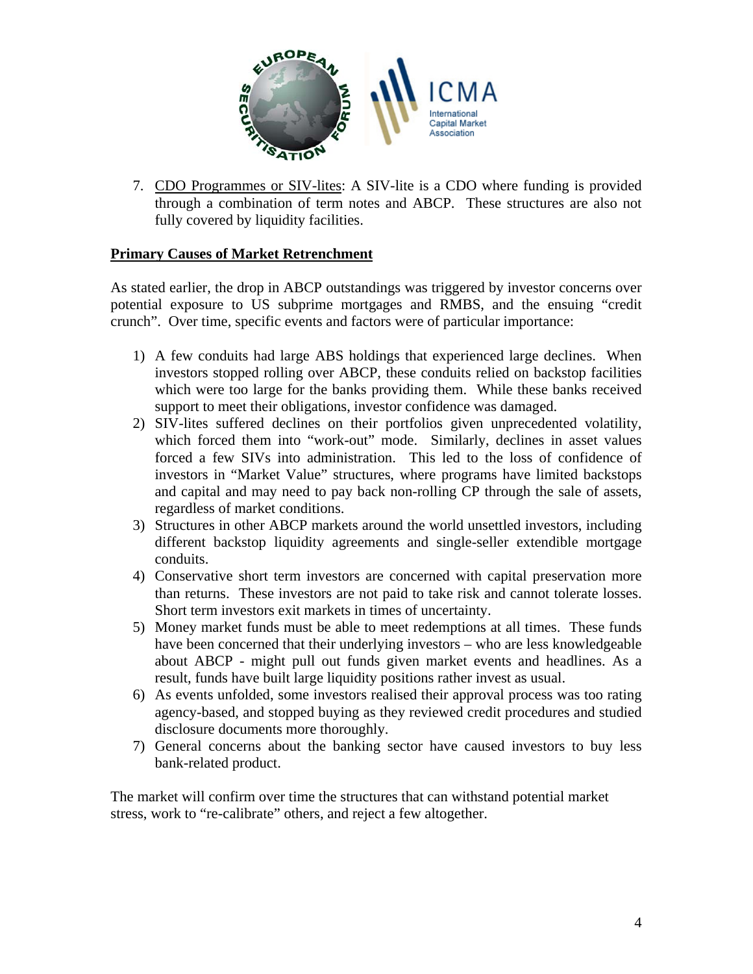

7. CDO Programmes or SIV-lites: A SIV-lite is a CDO where funding is provided through a combination of term notes and ABCP. These structures are also not fully covered by liquidity facilities.

#### **Primary Causes of Market Retrenchment**

As stated earlier, the drop in ABCP outstandings was triggered by investor concerns over potential exposure to US subprime mortgages and RMBS, and the ensuing "credit crunch". Over time, specific events and factors were of particular importance:

- 1) A few conduits had large ABS holdings that experienced large declines. When investors stopped rolling over ABCP, these conduits relied on backstop facilities which were too large for the banks providing them. While these banks received support to meet their obligations, investor confidence was damaged.
- 2) SIV-lites suffered declines on their portfolios given unprecedented volatility, which forced them into "work-out" mode. Similarly, declines in asset values forced a few SIVs into administration. This led to the loss of confidence of investors in "Market Value" structures, where programs have limited backstops and capital and may need to pay back non-rolling CP through the sale of assets, regardless of market conditions.
- 3) Structures in other ABCP markets around the world unsettled investors, including different backstop liquidity agreements and single-seller extendible mortgage conduits.
- 4) Conservative short term investors are concerned with capital preservation more than returns. These investors are not paid to take risk and cannot tolerate losses. Short term investors exit markets in times of uncertainty.
- 5) Money market funds must be able to meet redemptions at all times. These funds have been concerned that their underlying investors – who are less knowledgeable about ABCP - might pull out funds given market events and headlines. As a result, funds have built large liquidity positions rather invest as usual.
- 6) As events unfolded, some investors realised their approval process was too rating agency-based, and stopped buying as they reviewed credit procedures and studied disclosure documents more thoroughly.
- 7) General concerns about the banking sector have caused investors to buy less bank-related product.

The market will confirm over time the structures that can withstand potential market stress, work to "re-calibrate" others, and reject a few altogether.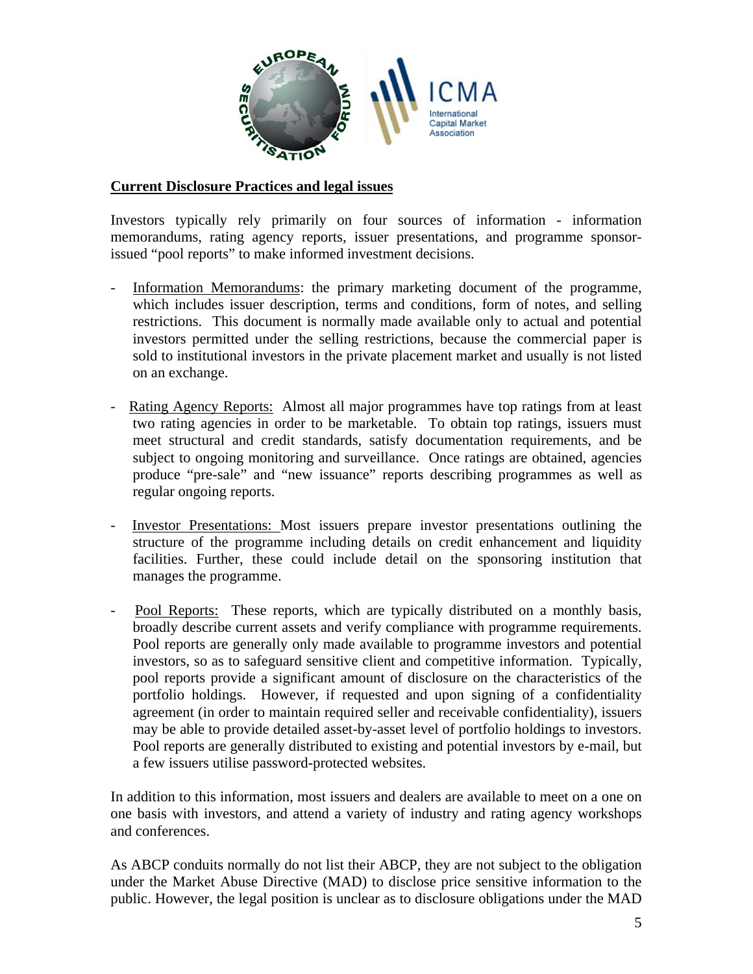

#### **Current Disclosure Practices and legal issues**

Investors typically rely primarily on four sources of information - information memorandums, rating agency reports, issuer presentations, and programme sponsorissued "pool reports" to make informed investment decisions.

- Information Memorandums: the primary marketing document of the programme, which includes issuer description, terms and conditions, form of notes, and selling restrictions. This document is normally made available only to actual and potential investors permitted under the selling restrictions, because the commercial paper is sold to institutional investors in the private placement market and usually is not listed on an exchange.
- Rating Agency Reports: Almost all major programmes have top ratings from at least two rating agencies in order to be marketable. To obtain top ratings, issuers must meet structural and credit standards, satisfy documentation requirements, and be subject to ongoing monitoring and surveillance. Once ratings are obtained, agencies produce "pre-sale" and "new issuance" reports describing programmes as well as regular ongoing reports.
- Investor Presentations: Most issuers prepare investor presentations outlining the structure of the programme including details on credit enhancement and liquidity facilities. Further, these could include detail on the sponsoring institution that manages the programme.
- Pool Reports: These reports, which are typically distributed on a monthly basis, broadly describe current assets and verify compliance with programme requirements. Pool reports are generally only made available to programme investors and potential investors, so as to safeguard sensitive client and competitive information. Typically, pool reports provide a significant amount of disclosure on the characteristics of the portfolio holdings. However, if requested and upon signing of a confidentiality agreement (in order to maintain required seller and receivable confidentiality), issuers may be able to provide detailed asset-by-asset level of portfolio holdings to investors. Pool reports are generally distributed to existing and potential investors by e-mail, but a few issuers utilise password-protected websites.

In addition to this information, most issuers and dealers are available to meet on a one on one basis with investors, and attend a variety of industry and rating agency workshops and conferences.

As ABCP conduits normally do not list their ABCP, they are not subject to the obligation under the Market Abuse Directive (MAD) to disclose price sensitive information to the public. However, the legal position is unclear as to disclosure obligations under the MAD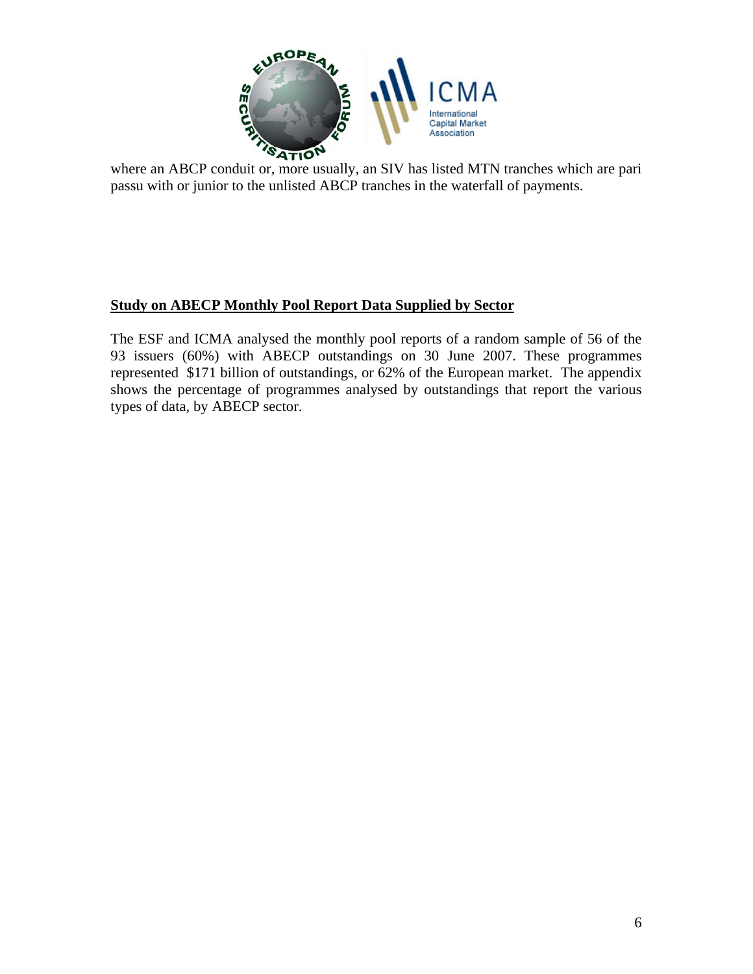

where an ABCP conduit or, more usually, an SIV has listed MTN tranches which are pari passu with or junior to the unlisted ABCP tranches in the waterfall of payments.

# **Study on ABECP Monthly Pool Report Data Supplied by Sector**

The ESF and ICMA analysed the monthly pool reports of a random sample of 56 of the 93 issuers (60%) with ABECP outstandings on 30 June 2007. These programmes represented \$171 billion of outstandings, or 62% of the European market. The appendix shows the percentage of programmes analysed by outstandings that report the various types of data, by ABECP sector.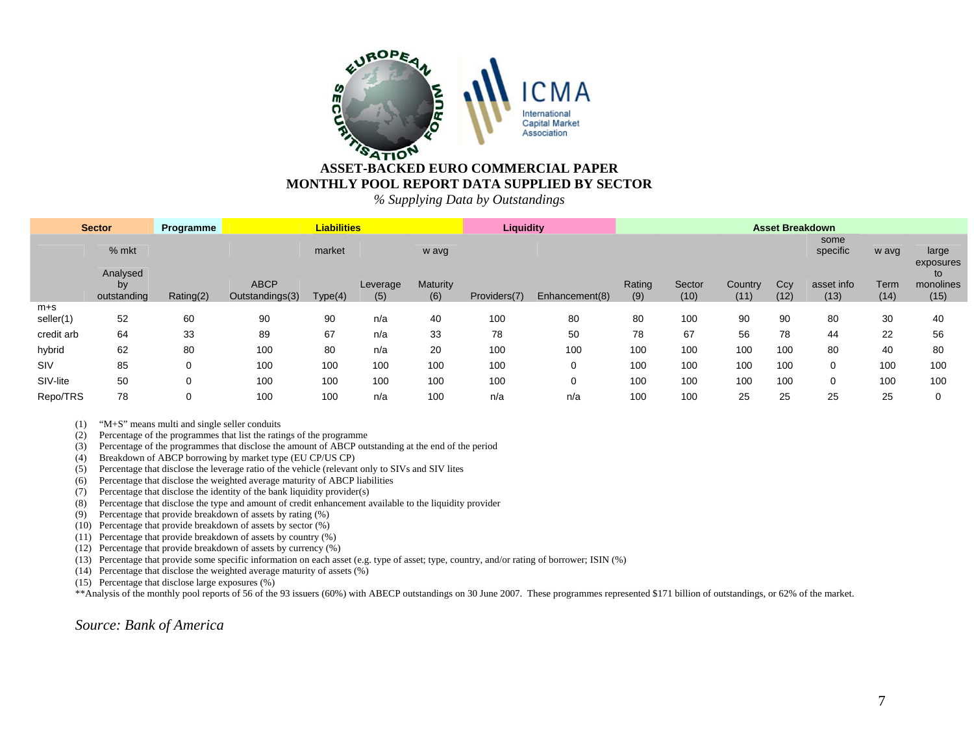

#### **ASSET-BACKED EURO COMMERCIAL PAPER MONTHLY POOL REPORT DATA SUPPLIED BY SECTOR**

*% Supplying Data by Outstandings*

| <b>Sector</b>        |                               | Programme   | <b>Liabilities</b>             |         |                 |                 | <b>Liquidity</b> |                | <b>Asset Breakdown</b> |                |                 |             |                    |              |                         |
|----------------------|-------------------------------|-------------|--------------------------------|---------|-----------------|-----------------|------------------|----------------|------------------------|----------------|-----------------|-------------|--------------------|--------------|-------------------------|
|                      | % mkt                         |             |                                | market  |                 | w avg           |                  |                |                        |                |                 |             | some<br>specific   | w avg        | large<br>exposures      |
|                      | Analysed<br>by<br>outstanding | Rating(2)   | <b>ABCP</b><br>Outstandings(3) | Type(4) | Leverage<br>(5) | Maturity<br>(6) | Providers(7)     | Enhancement(8) | Rating<br>(9)          | Sector<br>(10) | Country<br>(11) | Ccy<br>(12) | asset info<br>(13) | Term<br>(14) | to<br>monolines<br>(15) |
| $m + s$<br>seller(1) | 52                            | 60          | 90                             | 90      | n/a             | 40              | 100              | 80             | 80                     | 100            | 90              | 90          | 80                 | 30           | 40                      |
| credit arb           | 64                            | 33          | 89                             | 67      | n/a             | 33              | 78               | 50             | 78                     | 67             | 56              | 78          | 44                 | 22           | 56                      |
| hybrid               | 62                            | 80          | 100                            | 80      | n/a             | 20              | 100              | 100            | 100                    | 100            | 100             | 100         | 80                 | 40           | 80                      |
| SIV                  | 85                            | 0           | 100                            | 100     | 100             | 100             | 100              | 0              | 100                    | 100            | 100             | 100         | 0                  | 100          | 100                     |
| SIV-lite             | 50                            | $\mathbf 0$ | 100                            | 100     | 100             | 100             | 100              | 0              | 100                    | 100            | 100             | 100         | 0                  | 100          | 100                     |
| Repo/TRS             | 78                            | 0           | 100                            | 100     | n/a             | 100             | n/a              | n/a            | 100                    | 100            | 25              | 25          | 25                 | 25           |                         |

(1) "M+S" means multi and single seller conduits

(2) Percentage of the programmes that list the ratings of the programme

(3) Percentage of the programmes that disclose the amount of ABCP outstanding at the end of the period

(4) Breakdown of ABCP borrowing by market type (EU CP/US CP)

(5) Percentage that disclose the leverage ratio of the vehicle (relevant only to SIVs and SIV lites

(6) Percentage that disclose the weighted average maturity of ABCP liabilities

(7) Percentage that disclose the identity of the bank liquidity provider(s)

(8) Percentage that disclose the type and amount of credit enhancement available to the liquidity provider

(9) Percentage that provide breakdown of assets by rating (%)

(10) Percentage that provide breakdown of assets by sector (%)

(11) Percentage that provide breakdown of assets by country (%)

(12) Percentage that provide breakdown of assets by currency (%)

(13) Percentage that provide some specific information on each asset (e.g. type of asset; type, country, and/or rating of borrower; ISIN (%)

(14) Percentage that disclose the weighted average maturity of assets (%)

(15) Percentage that disclose large exposures (%)

\*\*Analysis of the monthly pool reports of 56 of the 93 issuers (60%) with ABECP outstandings on 30 June 2007. These programmes represented \$171 billion of outstandings, or 62% of the market.

*Source: Bank of America*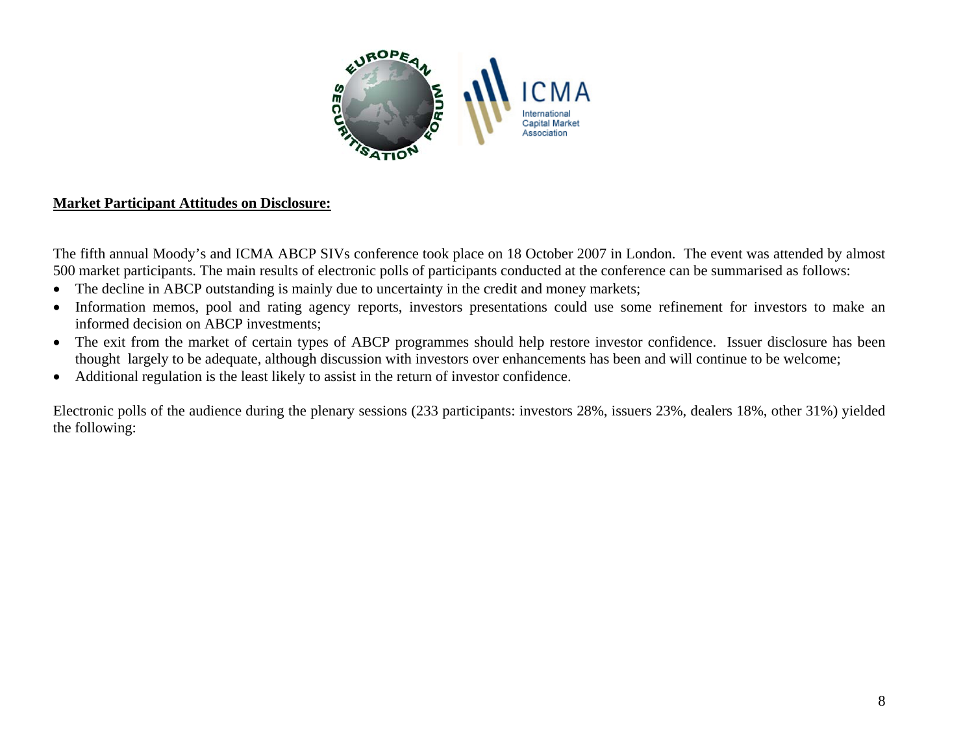

# **Market Participant Attitudes on Disclosure:**

The fifth annual Moody's and ICMA ABCP SIVs conference took place on 18 October 2007 in London. The event was attended by almost 500 market participants. The main results of electronic polls of participants conducted at the conference can be summarised as follows:

- $\bullet$ The decline in ABCP outstanding is mainly due to uncertainty in the credit and money markets;
- $\bullet$  Information memos, pool and rating agency reports, investors presentations could use some refinement for investors to make an informed decision on ABCP investments;
- The exit from the market of certain types of ABCP programmes should help restore investor confidence. Issuer disclosure has been thought largely to be adequate, although discussion with investors over enhancements has been and will continue to be welcome;
- $\bullet$ Additional regulation is the least likely to assist in the return of investor confidence.

Electronic polls of the audience during the plenary sessions (233 participants: investors 28%, issuers 23%, dealers 18%, other 31%) yielded the following: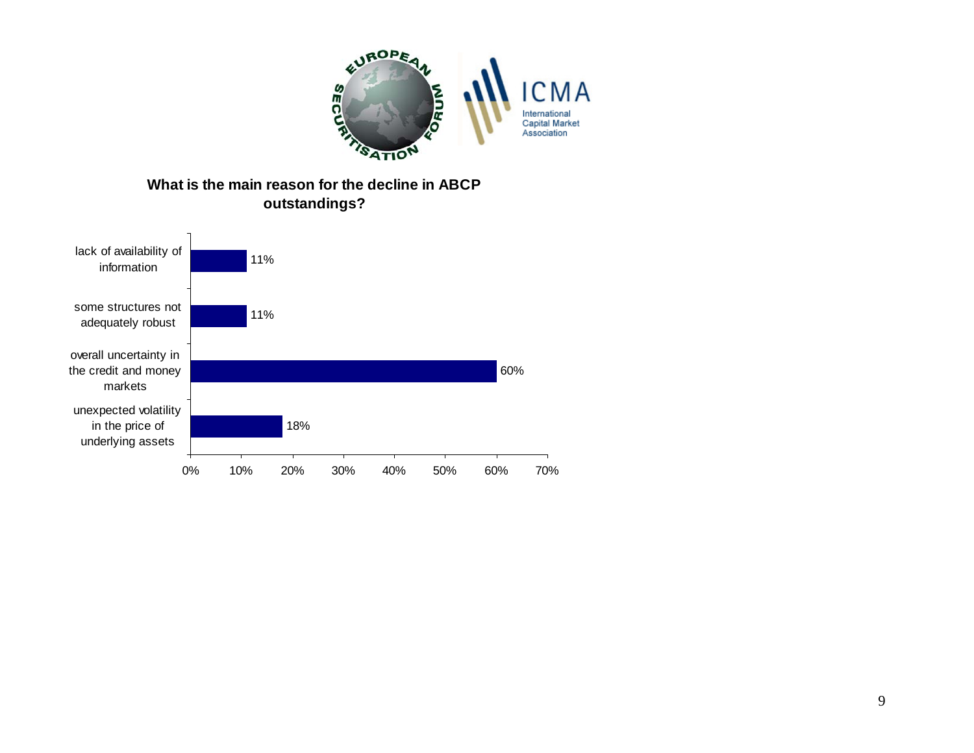

# **outstandings?**

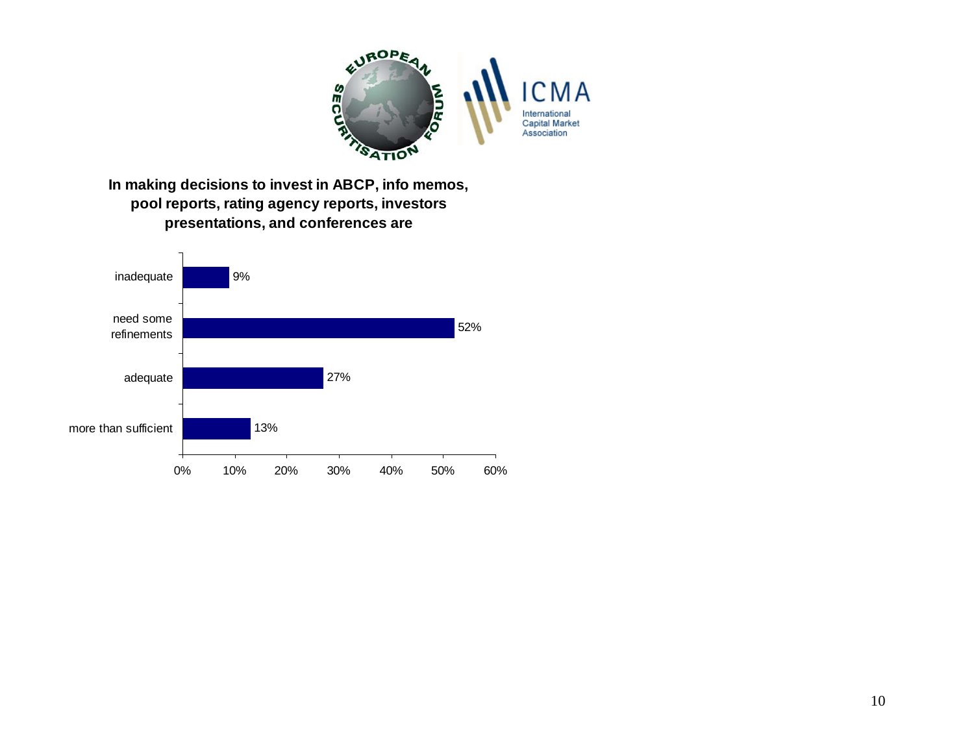

**pool reports, rating agency reports, investors presentations, and conferences are**